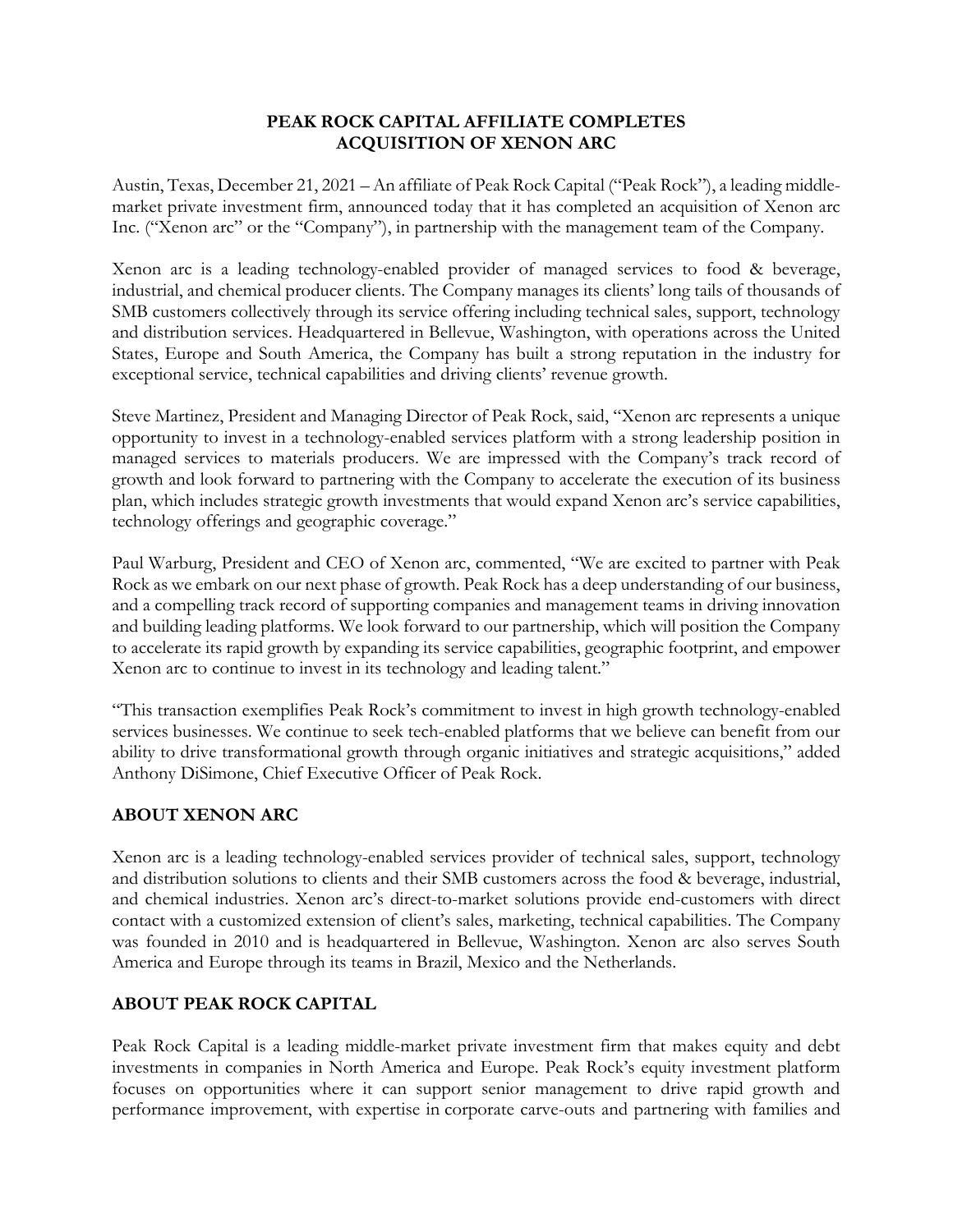## **PEAK ROCK CAPITAL AFFILIATE COMPLETES ACQUISITION OF XENON ARC**

Austin, Texas, December 21, 2021 – An affiliate of Peak Rock Capital ("Peak Rock"), a leading middlemarket private investment firm, announced today that it has completed an acquisition of Xenon arc Inc. ("Xenon arc" or the "Company"), in partnership with the management team of the Company.

Xenon arc is a leading technology-enabled provider of managed services to food & beverage, industrial, and chemical producer clients. The Company manages its clients' long tails of thousands of SMB customers collectively through its service offering including technical sales, support, technology and distribution services. Headquartered in Bellevue, Washington, with operations across the United States, Europe and South America, the Company has built a strong reputation in the industry for exceptional service, technical capabilities and driving clients' revenue growth.

Steve Martinez, President and Managing Director of Peak Rock, said, "Xenon arc represents a unique opportunity to invest in a technology-enabled services platform with a strong leadership position in managed services to materials producers. We are impressed with the Company's track record of growth and look forward to partnering with the Company to accelerate the execution of its business plan, which includes strategic growth investments that would expand Xenon arc's service capabilities, technology offerings and geographic coverage."

Paul Warburg, President and CEO of Xenon arc, commented, "We are excited to partner with Peak Rock as we embark on our next phase of growth. Peak Rock has a deep understanding of our business, and a compelling track record of supporting companies and management teams in driving innovation and building leading platforms. We look forward to our partnership, which will position the Company to accelerate its rapid growth by expanding its service capabilities, geographic footprint, and empower Xenon arc to continue to invest in its technology and leading talent."

"This transaction exemplifies Peak Rock's commitment to invest in high growth technology-enabled services businesses. We continue to seek tech-enabled platforms that we believe can benefit from our ability to drive transformational growth through organic initiatives and strategic acquisitions," added Anthony DiSimone, Chief Executive Officer of Peak Rock.

## **ABOUT XENON ARC**

Xenon arc is a leading technology-enabled services provider of technical sales, support, technology and distribution solutions to clients and their SMB customers across the food & beverage, industrial, and chemical industries. Xenon arc's direct-to-market solutions provide end-customers with direct contact with a customized extension of client's sales, marketing, technical capabilities. The Company was founded in 2010 and is headquartered in Bellevue, Washington. Xenon arc also serves South America and Europe through its teams in Brazil, Mexico and the Netherlands.

## **ABOUT PEAK ROCK CAPITAL**

Peak Rock Capital is a leading middle-market private investment firm that makes equity and debt investments in companies in North America and Europe. Peak Rock's equity investment platform focuses on opportunities where it can support senior management to drive rapid growth and performance improvement, with expertise in corporate carve-outs and partnering with families and